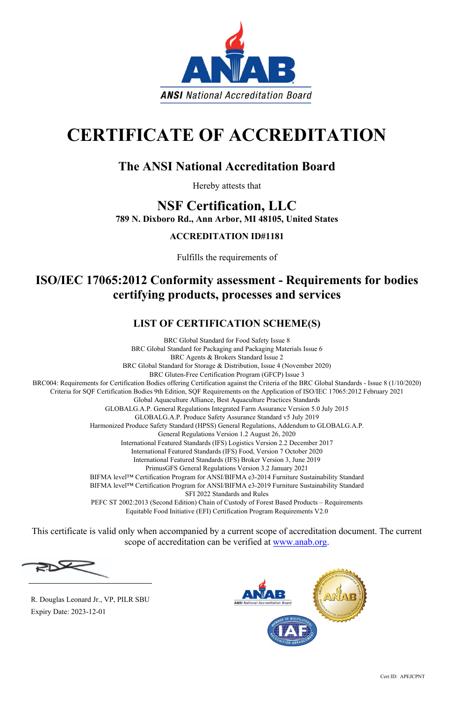Cert ID: APEJCPNT



# **CERTIFICATE OF ACCREDITATION**

## **The ANSI National Accreditation Board**

Hereby attests that

## **NSF Certification, LLC 789 N. Dixboro Rd., Ann Arbor, MI 48105, United States**

## **ACCREDITATION ID#1181**

Fulfills the requirements of

## **ISO/IEC 17065:2012 Conformity assessment - Requirements for bodies certifying products, processes and services**

## **LIST OF CERTIFICATION SCHEME(S)**

BRC Global Standard for Food Safety Issue 8 BRC Global Standard for Packaging and Packaging Materials Issue 6 BRC Agents & Brokers Standard Issue 2 BRC Global Standard for Storage & Distribution, Issue 4 (November 2020) BRC Gluten-Free Certification Program (GFCP) Issue 3 BRC004: Requirements for Certification Bodies offering Certification against the Criteria of the BRC Global Standards - Issue 8 (1/10/2020) Criteria for SQF Certification Bodies 9th Edition, SQF Requirements on the Application of ISO/IEC 17065:2012 February 2021 Global Aquaculture Alliance, Best Aquaculture Practices Standards GLOBALG.A.P. General Regulations Integrated Farm Assurance Version 5.0 July 2015 GLOBALG.A.P. Produce Safety Assurance Standard v5 July 2019 Harmonized Produce Safety Standard (HPSS) General Regulations, Addendum to GLOBALG.A.P. General Regulations Version 1.2 August 26, 2020 International Featured Standards (IFS) Logistics Version 2.2 December 2017 International Featured Standards (IFS) Food, Version 7 October 2020 International Featured Standards (IFS) Broker Version 3, June 2019 PrimusGFS General Regulations Version 3.2 January 2021 BIFMA level™ Certification Program for ANSI/BIFMA e3-2014 Furniture Sustainability Standard BIFMA level™ Certification Program for ANSI/BIFMA e3-2019 Furniture Sustainability Standard SFI 2022 Standards and Rules PEFC ST 2002:2013 (Second Edition) Chain of Custody of Forest Based Products – Requirements Equitable Food Initiative (EFI) Certification Program Requirements V2.0

This certificate is valid only when accompanied by a current scope of accreditation document. The current scope of accreditation can be verified at www.anab.org.



 R. Douglas Leonard Jr., VP, PILR SBU Expiry Date: 2023-12-01

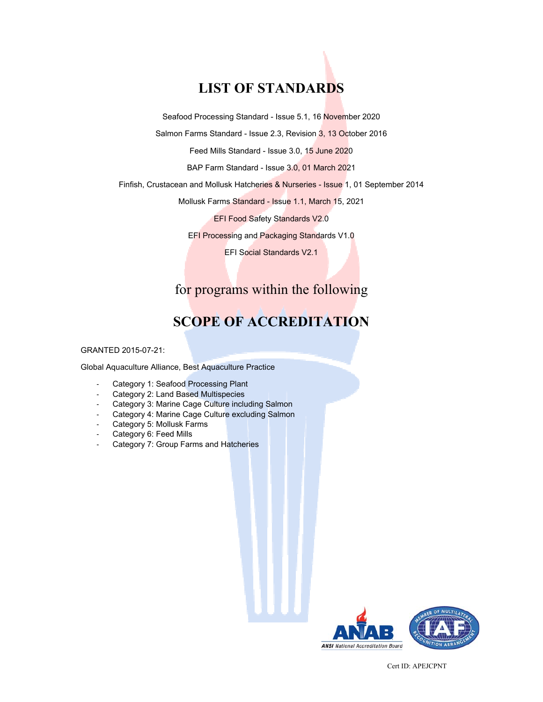## **LIST OF STANDARDS**

Seafood Processing Standard - Issue 5.1, 16 November 2020

Salmon Farms Standard - Issue 2.3, Revision 3, 13 October 2016

Feed Mills Standard - Issue 3.0, 15 June 2020

BAP Farm Standard - Issue 3.0, 01 March 2021

Finfish, Crustacean and Mollusk Hatcheries & Nurseries - Issue 1, 01 September 2014

Mollusk Farms Standard - Issue 1.1, March 15, 2021

EFI Food Safety Standards V2.0

EFI Processing and Packaging Standards V1.0

EFI Social Standards V2.1

### for programs within the following

## **SCOPE OF ACCREDITATION**

GRANTED 2015-07-21:

Global Aquaculture Alliance, Best Aquaculture Practice

- Category 1: Seafood Processing Plant
- Category 2: Land Based Multispecies
- Category 3: Marine Cage Culture including Salmon
- Category 4: Marine Cage Culture excluding Salmon
- Category 5: Mollusk Farms
- Category 6: Feed Mills
- Category 7: Group Farms and Hatcheries

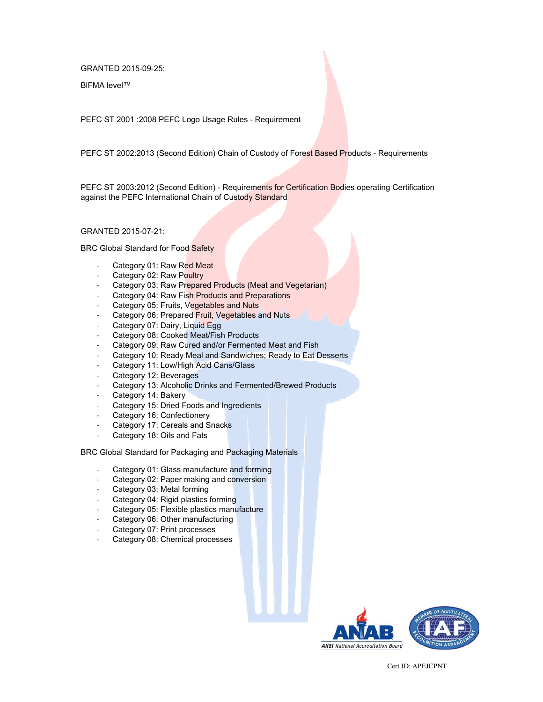GRANTED 2015-09-25:

BlFMA level™

PEFC ST 2001 :2008 PEFC Logo Usage Rules - Requirement

PEFC ST 2002:2013 (Second Edition) Chain of Custody of Forest Based Products - Requirements

PEFC ST 2003:2012 (Second Edition) - Requirements for Certification Bodies operating Certification against the PEFC International Chain of Custody Standard

GRANTED 2015-07-21:

BRC Global Standard for Food Safety

- Category 01: Raw Red Meat
- Category 02: Raw Poultry
- Category 03: Raw Prepared Products (Meat and Vegetarian)
- Category 04: Raw Fish Products and Preparations
- Category 05: Fruits, Vegetables and Nuts
- Category 06: Prepared Fruit, Vegetables and Nuts
- Category 07: Dairy, Liquid Egg
- Category 08: Cooked Meat/Fish Products
- Category 09: Raw Cured and/or Fermented Meat and Fish
- Category 10: Ready Meal and Sandwiches; Ready to Eat Desserts
- Category 11: Low/High Acid Cans/Glass
- Category 12: Beverages
- Category 13: Alcoholic Drinks and Fermented/Brewed Products
- Category 14: Bakery
- Category 15: Dried Foods and Ingredients
- Category 16: Confectionery
- Category 17: Cereals and Snacks
- Category 18: Oils and Fats

BRC Global Standard for Packaging and Packaging Materials

- Category 01: Glass manufacture and forming
- Category 02: Paper making and conversion
- Category 03: Metal forming
- Category 04: Rigid plastics forming
- Category 05: Flexible plastics manufacture
- Category 06: Other manufacturing
- Category 07: Print processes
- Category 08: Chemical processes

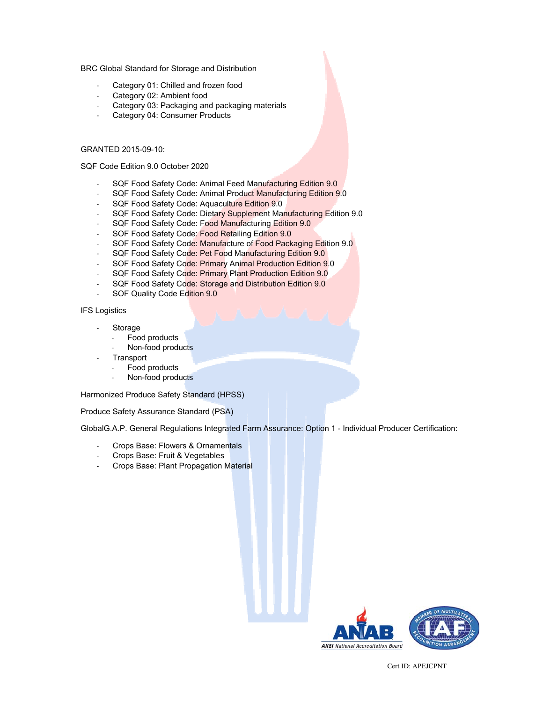BRC Global Standard for Storage and Distribution

- Category 01: Chilled and frozen food
- Category 02: Ambient food
- Category 03: Packaging and packaging materials
- Category 04: Consumer Products

#### GRANTED 2015-09-10:

SQF Code Edition 9.0 October 2020

- SQF Food Safety Code: Animal Feed Manufacturing Edition 9.0
- SQF Food Safety Code: Animal Product Manufacturing Edition 9.0
- SQF Food Safety Code: Aquaculture Edition 9.0
- SQF Food Safety Code: Dietary Supplement Manufacturing Edition 9.0
- SQF Food Safety Code: Food Manufacturing Edition 9.0
- SOF Food Safety Code: Food Retailing Edition 9.0
- SOF Food Safety Code: Manufacture of Food Packaging Edition 9.0
- SQF Food Safety Code: Pet Food Manufacturing Edition 9.0
- SOF Food Safety Code: Primary Animal Production Edition 9.0
- SQF Food Safety Code: Primary Plant Production Edition 9.0
- SQF Food Safety Code: Storage and Distribution Edition 9.0
- SOF Quality Code Edition 9.0

IFS Logistics

- **Storage** 
	- Food products
	- Non-food products
- **Transport** 
	- Food products
	- Non-food products

Harmonized Produce Safety Standard (HPSS)

Produce Safety Assurance Standard (PSA)

GlobalG.A.P. General Regulations Integrated Farm Assurance: Option 1 - Individual Producer Certification:

- Crops Base: Flowers & Ornamentals
- Crops Base: Fruit & Vegetables
- Crops Base: Plant Propagation Material

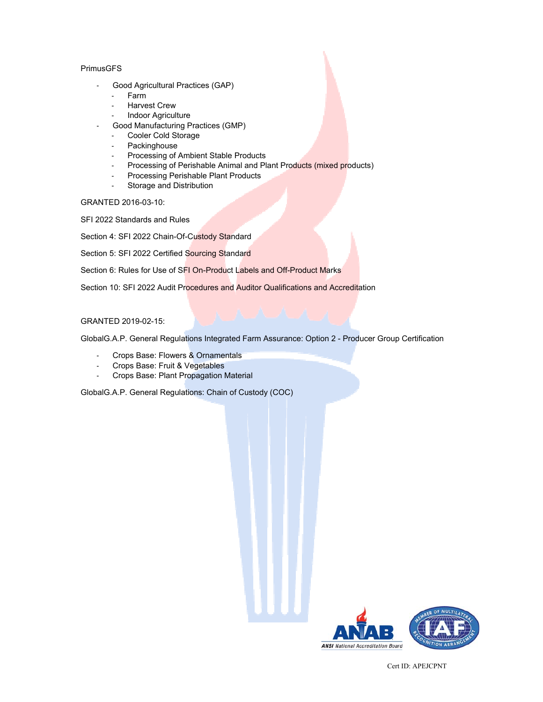### PrimusGFS

- Good Agricultural Practices (GAP)
	- Farm
	- **Harvest Crew**
	- Indoor Agriculture
	- Good Manufacturing Practices (GMP)
		- Cooler Cold Storage
		- Packinghouse
		- Processing of Ambient Stable Products
		- Processing of Perishable Animal and Plant Products (mixed products)
		- Processing Perishable Plant Products
		- Storage and Distribution

GRANTED 2016-03-10:

SFI 2022 Standards and Rules

Section 4: SFI 2022 Chain-Of-Custody Standard

Section 5: SFI 2022 Certified Sourcing Standard

Section 6: Rules for Use of SFI On-Product Labels and Off-Product Marks

Section 10: SFI 2022 Audit Procedures and Auditor Qualifications and Accreditation

### GRANTED 2019-02-15:

GlobalG.A.P. General Regulations Integrated Farm Assurance: Option 2 - Producer Group Certification

- Crops Base: Flowers & Ornamentals
- Crops Base: Fruit & Vegetables
- Crops Base: Plant Propagation Material

GlobalG.A.P. General Regulations: Chain of Custody (COC)